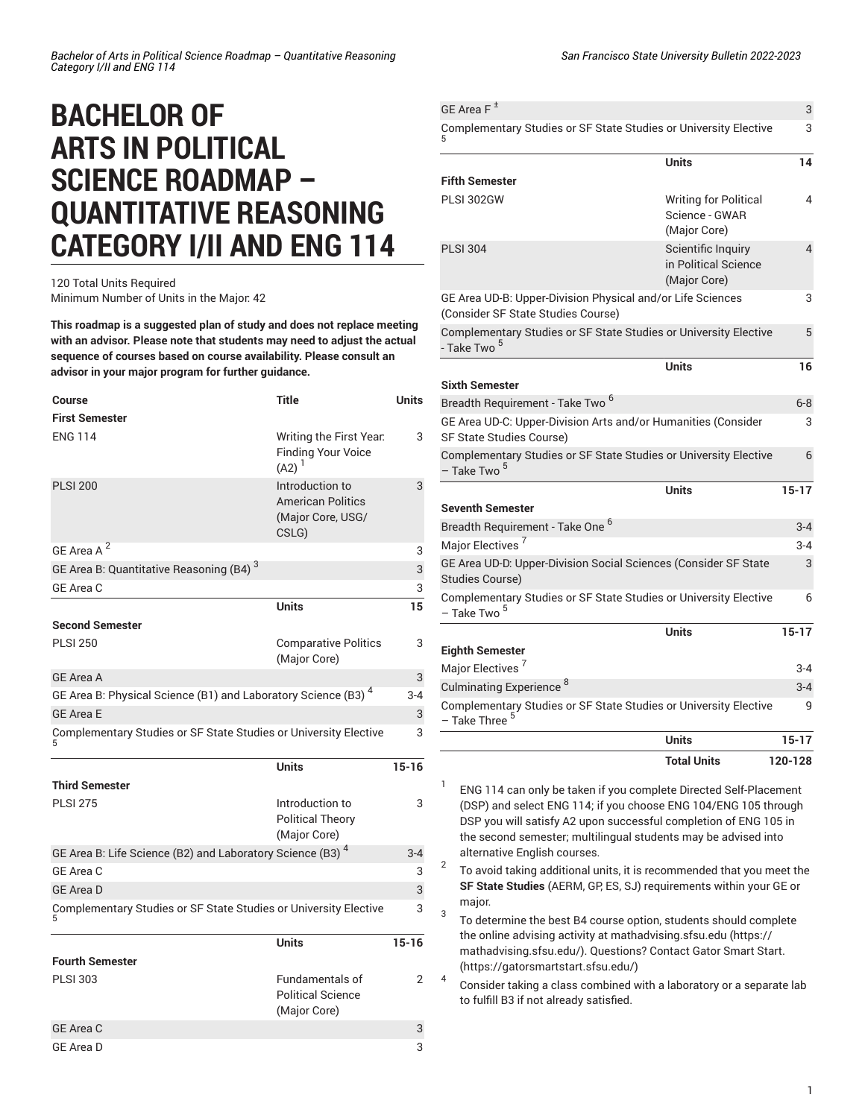## **BACHELOR OF ARTS IN POLITICAL SCIENCE ROADMAP – QUANTITATIVE REASONING CATEGORY I/II AND ENG 114**

## 120 Total Units Required Minimum Number of Units in the Major: 42

**This roadmap is a suggested plan of study and does not replace meeting with an advisor. Please note that students may need to adjust the actual sequence of courses based on course availability. Please consult an advisor in your major program for further guidance.**

| Course                                                                    | Title                                                                     | <b>Units</b> |
|---------------------------------------------------------------------------|---------------------------------------------------------------------------|--------------|
| <b>First Semester</b>                                                     |                                                                           |              |
| <b>ENG 114</b>                                                            | Writing the First Year.<br><b>Finding Your Voice</b><br>$(A2)^1$          | 3            |
| <b>PLSI 200</b>                                                           | Introduction to<br><b>American Politics</b><br>(Major Core, USG/<br>CSLG) | 3            |
| GE Area A <sup>2</sup>                                                    |                                                                           | 3            |
| GE Area B: Quantitative Reasoning (B4) <sup>3</sup>                       |                                                                           | 3            |
| GE Area C                                                                 |                                                                           | 3            |
|                                                                           | <b>Units</b>                                                              | 15           |
| <b>Second Semester</b>                                                    |                                                                           |              |
| <b>PLSI 250</b>                                                           | <b>Comparative Politics</b><br>(Major Core)                               | 3            |
| <b>GE Area A</b>                                                          |                                                                           | 3            |
| GE Area B: Physical Science (B1) and Laboratory Science (B3) <sup>4</sup> |                                                                           | $3 - 4$      |
| <b>GE Area E</b>                                                          |                                                                           | 3            |
| Complementary Studies or SF State Studies or University Elective          |                                                                           | 3            |
|                                                                           | <b>Units</b>                                                              | $15 - 16$    |
| <b>Third Semester</b>                                                     |                                                                           |              |
| <b>PLSI 275</b>                                                           | Introduction to<br><b>Political Theory</b><br>(Major Core)                | 3            |
| GE Area B: Life Science (B2) and Laboratory Science (B3) $^4$             |                                                                           | $3 - 4$      |
| GE Area C                                                                 |                                                                           | 3            |
| <b>GE Area D</b>                                                          |                                                                           | 3            |
| Complementary Studies or SF State Studies or University Elective          |                                                                           | 3            |
| <b>Fourth Semester</b>                                                    | <b>Units</b>                                                              | $15 - 16$    |
| <b>PLSI 303</b>                                                           | <b>Fundamentals of</b>                                                    | 2            |
|                                                                           | <b>Political Science</b><br>(Major Core)                                  |              |
| <b>GE Area C</b>                                                          |                                                                           | 3            |

| GE Area $F^{\pm}$                                                                                |                                                                | 3                       |
|--------------------------------------------------------------------------------------------------|----------------------------------------------------------------|-------------------------|
| Complementary Studies or SF State Studies or University Elective                                 |                                                                | 3                       |
|                                                                                                  | Units                                                          | 14                      |
| <b>Fifth Semester</b>                                                                            |                                                                |                         |
| <b>PLSI 302GW</b>                                                                                | <b>Writing for Political</b><br>Science - GWAR<br>(Major Core) | 4                       |
| <b>PLSI 304</b>                                                                                  | Scientific Inquiry<br>in Political Science<br>(Major Core)     | $\overline{\mathbf{4}}$ |
| GE Area UD-B: Upper-Division Physical and/or Life Sciences<br>(Consider SF State Studies Course) |                                                                | 3                       |
| Complementary Studies or SF State Studies or University Elective<br>- Take Two <sup>5</sup>      |                                                                | 5                       |
|                                                                                                  | <b>Units</b>                                                   | 16                      |
| <b>Sixth Semester</b>                                                                            |                                                                |                         |
| Breadth Requirement - Take Two <sup>6</sup>                                                      |                                                                | $6 - 8$                 |
| GE Area UD-C: Upper-Division Arts and/or Humanities (Consider<br><b>SF State Studies Course)</b> |                                                                | 3                       |
| Complementary Studies or SF State Studies or University Elective<br>– Take Two <sup>5</sup>      |                                                                | 6                       |
|                                                                                                  | <b>Units</b>                                                   | $15 - 17$               |
| <b>Seventh Semester</b>                                                                          |                                                                |                         |
| Breadth Requirement - Take One <sup>6</sup>                                                      |                                                                | $3 - 4$                 |
| Major Electives <sup>7</sup>                                                                     |                                                                | $3 - 4$                 |
| GE Area UD-D: Upper-Division Social Sciences (Consider SF State<br>Studies Course)               |                                                                | 3                       |
| Complementary Studies or SF State Studies or University Elective<br>- Take Two <sup>5</sup>      |                                                                | 6                       |
|                                                                                                  | <b>Units</b>                                                   | $15 - 17$               |
| <b>Eighth Semester</b>                                                                           |                                                                |                         |
| Major Electives <sup>7</sup>                                                                     |                                                                | $3 - 4$                 |
| Culminating Experience <sup>8</sup>                                                              |                                                                | $3 - 4$                 |
| Complementary Studies or SF State Studies or University Elective<br>- Take Three <sup>5</sup>    |                                                                | 9                       |
|                                                                                                  | <b>Units</b>                                                   | $15 - 17$               |
|                                                                                                  | <b>Total Units</b>                                             | 120-128                 |

1 ENG 114 can only be taken if you complete Directed Self-Placement (DSP) and select ENG 114; if you choose ENG 104/ENG 105 through DSP you will satisfy A2 upon successful completion of ENG 105 in the second semester; multilingual students may be advised into alternative English courses.

2 To avoid taking additional units, it is recommended that you meet the **SF State Studies** (AERM, GP, ES, SJ) requirements within your GE or major.

3 To determine the best B4 course option, students should complete the online advising activity at [mathadvising.sfsu.edu \(https://](https://mathadvising.sfsu.edu/) [mathadvising.sfsu.edu/](https://mathadvising.sfsu.edu/)). Questions? Contact Gator [Smart](https://gatorsmartstart.sfsu.edu/) Start. [\(https://gatorsmartstart.sfsu.edu/](https://gatorsmartstart.sfsu.edu/))

4 Consider taking a class combined with a laboratory or a separate lab to fulfill B3 if not already satisfied.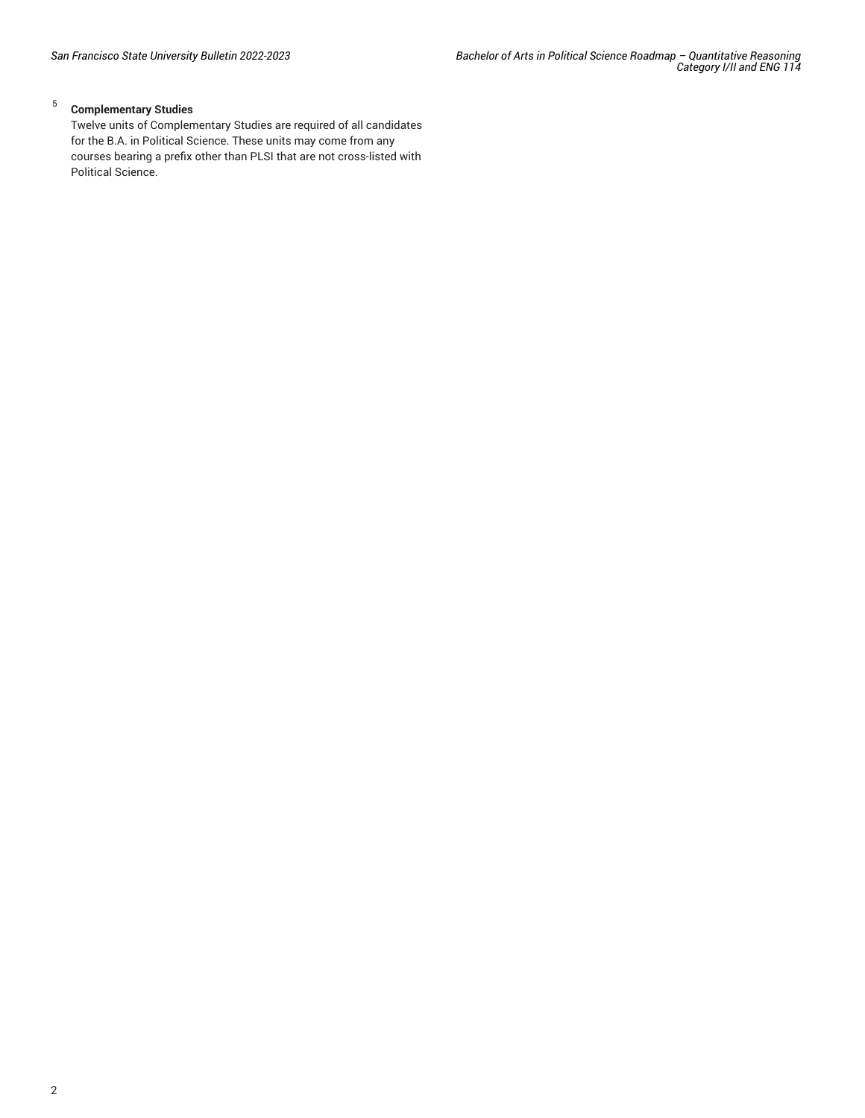## 5 **Complementary Studies**

Twelve units of Complementary Studies are required of all candidates for the B.A. in Political Science. These units may come from any courses bearing a prefix other than PLSI that are not cross-listed with Political Science.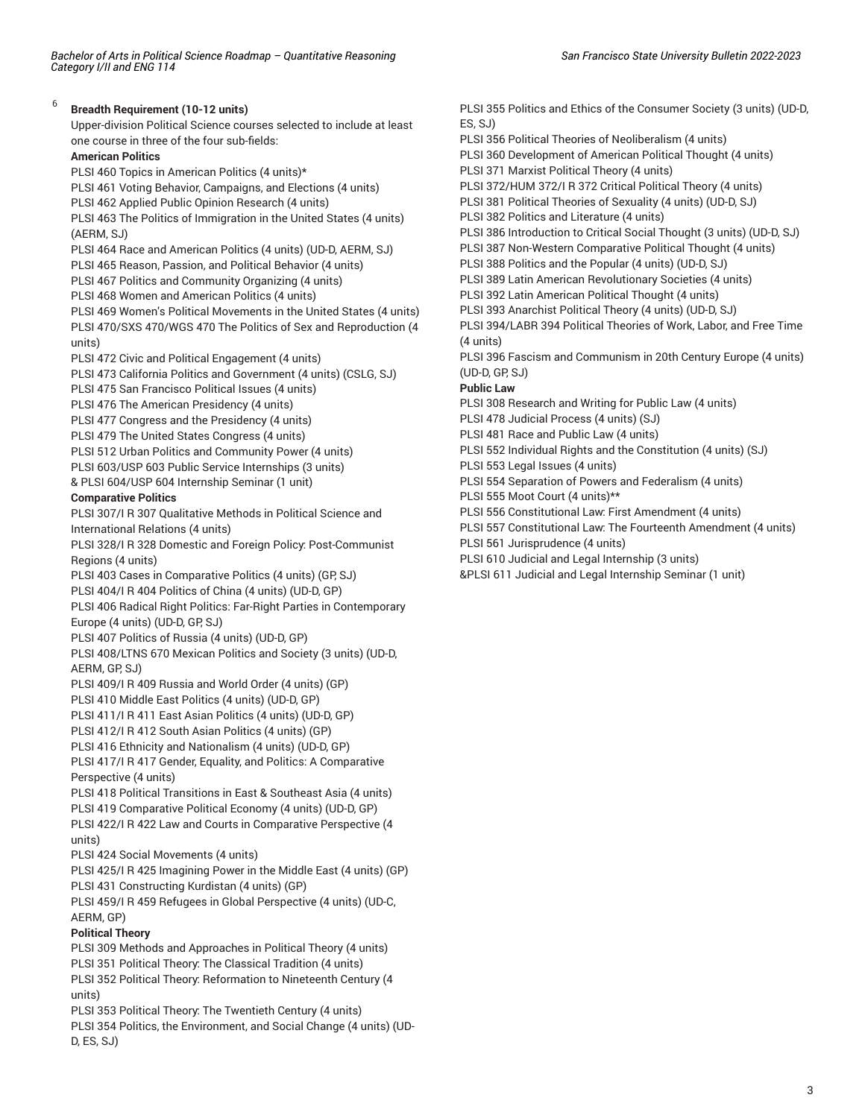6

**Breadth Requirement (10-12 units)** Upper-division Political Science courses selected to include at least one course in three of the four sub-fields: **American Politics** PLSI 460 Topics in American Politics (4 units)\* PLSI 461 Voting Behavior, Campaigns, and Elections (4 units) PLSI 462 Applied Public Opinion Research (4 units) PLSI 463 The Politics of Immigration in the United States (4 units) (AERM, SJ) PLSI 464 Race and American Politics (4 units) (UD-D, AERM, SJ) PLSI 465 Reason, Passion, and Political Behavior (4 units) PLSI 467 Politics and Community Organizing (4 units) PLSI 468 Women and American Politics (4 units) PLSI 469 Women's Political Movements in the United States (4 units) PLSI 470/SXS 470/WGS 470 The Politics of Sex and Reproduction (4 units) PLSI 472 Civic and Political Engagement (4 units) PLSI 473 California Politics and Government (4 units) (CSLG, SJ) PLSI 475 San Francisco Political Issues (4 units) PLSI 476 The American Presidency (4 units) PLSI 477 Congress and the Presidency (4 units) PLSI 479 The United States Congress (4 units) PLSI 512 Urban Politics and Community Power (4 units) PLSI 603/USP 603 Public Service Internships (3 units) & PLSI 604/USP 604 Internship Seminar (1 unit) **Comparative Politics** PLSI 307/I R 307 Qualitative Methods in Political Science and International Relations (4 units) PLSI 328/I R 328 Domestic and Foreign Policy: Post-Communist Regions (4 units) PLSI 403 Cases in Comparative Politics (4 units) (GP, SJ) PLSI 404/I R 404 Politics of China (4 units) (UD-D, GP) PLSI 406 Radical Right Politics: Far-Right Parties in Contemporary Europe (4 units) (UD-D, GP, SJ) PLSI 407 Politics of Russia (4 units) (UD-D, GP) PLSI 408/LTNS 670 Mexican Politics and Society (3 units) (UD-D, AERM, GP, SJ) PLSI 409/I R 409 Russia and World Order (4 units) (GP) PLSI 410 Middle East Politics (4 units) (UD-D, GP) PLSI 411/I R 411 East Asian Politics (4 units) (UD-D, GP) PLSI 412/I R 412 South Asian Politics (4 units) (GP) PLSI 416 Ethnicity and Nationalism (4 units) (UD-D, GP) PLSI 417/I R 417 Gender, Equality, and Politics: A Comparative Perspective (4 units) PLSI 418 Political Transitions in East & Southeast Asia (4 units) PLSI 419 Comparative Political Economy (4 units) (UD-D, GP) PLSI 422/I R 422 Law and Courts in Comparative Perspective (4 units) PLSI 424 Social Movements (4 units) PLSI 425/I R 425 Imagining Power in the Middle East (4 units) (GP) PLSI 431 Constructing Kurdistan (4 units) (GP) PLSI 459/I R 459 Refugees in Global Perspective (4 units) (UD-C, AERM, GP) **Political Theory** PLSI 309 Methods and Approaches in Political Theory (4 units) PLSI 351 Political Theory: The Classical Tradition (4 units) PLSI 352 Political Theory: Reformation to Nineteenth Century (4 units) PLSI 353 Political Theory: The Twentieth Century (4 units) PLSI 354 Politics, the Environment, and Social Change (4 units) (UD-D, ES, SJ)

PLSI 355 Politics and Ethics of the Consumer Society (3 units) (UD-D,  $ES.S.J)$ PLSI 356 Political Theories of Neoliberalism (4 units) PLSI 360 Development of American Political Thought (4 units) PLSI 371 Marxist Political Theory (4 units) PLSI 372/HUM 372/I R 372 Critical Political Theory (4 units) PLSI 381 Political Theories of Sexuality (4 units) (UD-D, SJ) PLSI 382 Politics and Literature (4 units) PLSI 386 Introduction to Critical Social Thought (3 units) (UD-D, SJ) PLSI 387 Non-Western Comparative Political Thought (4 units) PLSI 388 Politics and the Popular (4 units) (UD-D, SJ) PLSI 389 Latin American Revolutionary Societies (4 units) PLSI 392 Latin American Political Thought (4 units) PLSI 393 Anarchist Political Theory (4 units) (UD-D, SJ) PLSI 394/LABR 394 Political Theories of Work, Labor, and Free Time (4 units) PLSI 396 Fascism and Communism in 20th Century Europe (4 units) (UD-D, GP, SJ) **Public Law** PLSI 308 Research and Writing for Public Law (4 units) PLSI 478 Judicial Process (4 units) (SJ) PLSI 481 Race and Public Law (4 units) PLSI 552 Individual Rights and the Constitution (4 units) (SJ) PLSI 553 Legal Issues (4 units) PLSI 554 Separation of Powers and Federalism (4 units) PLSI 555 Moot Court (4 units)\*\* PLSI 556 Constitutional Law: First Amendment (4 units) PLSI 557 Constitutional Law: The Fourteenth Amendment (4 units) PLSI 561 Jurisprudence (4 units) PLSI 610 Judicial and Legal Internship (3 units)

&PLSI 611 Judicial and Legal Internship Seminar (1 unit)